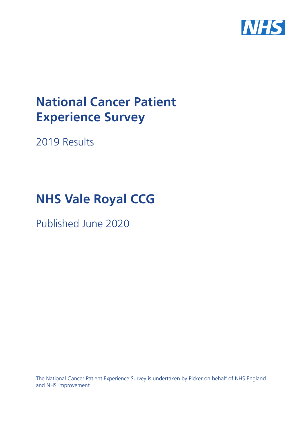

# **National Cancer Patient Experience Survey**

2019 Results

# **NHS Vale Royal CCG**

Published June 2020

The National Cancer Patient Experience Survey is undertaken by Picker on behalf of NHS England and NHS Improvement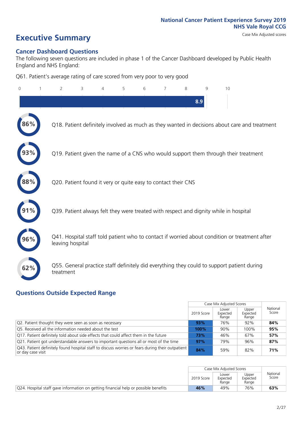# **Executive Summary** Case Mix Adjusted scores

#### **Cancer Dashboard Questions**

The following seven questions are included in phase 1 of the Cancer Dashboard developed by Public Health England and NHS England:

Q61. Patient's average rating of care scored from very poor to very good

| $\Omega$ | $\overline{2}$   | 3                                                             | 5 | 6 | 7 | 8   | 9 | 10                                                                                            |
|----------|------------------|---------------------------------------------------------------|---|---|---|-----|---|-----------------------------------------------------------------------------------------------|
|          |                  |                                                               |   |   |   | 8.9 |   |                                                                                               |
| 86%      |                  |                                                               |   |   |   |     |   | Q18. Patient definitely involved as much as they wanted in decisions about care and treatment |
|          |                  |                                                               |   |   |   |     |   | Q19. Patient given the name of a CNS who would support them through their treatment           |
| 88%      |                  | Q20. Patient found it very or quite easy to contact their CNS |   |   |   |     |   |                                                                                               |
|          |                  |                                                               |   |   |   |     |   | Q39. Patient always felt they were treated with respect and dignity while in hospital         |
| 96%      | leaving hospital |                                                               |   |   |   |     |   | Q41. Hospital staff told patient who to contact if worried about condition or treatment after |
| 62%      | treatment        |                                                               |   |   |   |     |   | Q55. General practice staff definitely did everything they could to support patient during    |

### **Questions Outside Expected Range**

|                                                                                                                         |            | Case Mix Adjusted Scores   |                            |                   |
|-------------------------------------------------------------------------------------------------------------------------|------------|----------------------------|----------------------------|-------------------|
|                                                                                                                         | 2019 Score | Lower<br>Expected<br>Range | Upper<br>Expected<br>Range | National<br>Score |
| Q2. Patient thought they were seen as soon as necessary                                                                 | 93%        | 76%                        | 92%                        | 84%               |
| Q5. Received all the information needed about the test                                                                  | 100%       | 90%                        | 100%                       | 95%               |
| Q17. Patient definitely told about side effects that could affect them in the future                                    | 73%        | 46%                        | 67%                        | 57%               |
| Q21. Patient got understandable answers to important questions all or most of the time                                  | 97%        | 79%                        | 96%                        | 87%               |
| [Q43. Patient definitely found hospital staff to discuss worries or fears during their outpatient<br>∣or day case visit | 84%        | 59%                        | 82%                        | 71%               |

|                                                                                     |            | Case Mix Adjusted Scores   |                            |                   |
|-------------------------------------------------------------------------------------|------------|----------------------------|----------------------------|-------------------|
|                                                                                     | 2019 Score | Lower<br>Expected<br>Range | Upper<br>Expected<br>Range | National<br>Score |
| Q24. Hospital staff gave information on getting financial help or possible benefits | 46%        | 49%                        | 76%                        | 63%               |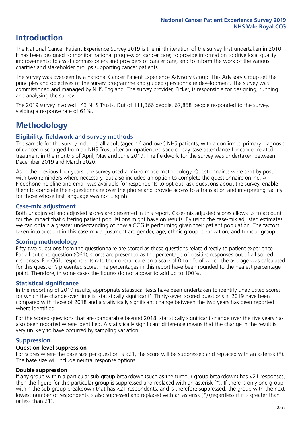### **Introduction**

The National Cancer Patient Experience Survey 2019 is the ninth iteration of the survey first undertaken in 2010. It has been designed to monitor national progress on cancer care; to provide information to drive local quality improvements; to assist commissioners and providers of cancer care; and to inform the work of the various charities and stakeholder groups supporting cancer patients.

The survey was overseen by a national Cancer Patient Experience Advisory Group. This Advisory Group set the principles and objectives of the survey programme and guided questionnaire development. The survey was commissioned and managed by NHS England. The survey provider, Picker, is responsible for designing, running and analysing the survey.

The 2019 survey involved 143 NHS Trusts. Out of 111,366 people, 67,858 people responded to the survey, yielding a response rate of 61%.

## **Methodology**

#### **Eligibility, eldwork and survey methods**

The sample for the survey included all adult (aged 16 and over) NHS patients, with a confirmed primary diagnosis of cancer, discharged from an NHS Trust after an inpatient episode or day case attendance for cancer related treatment in the months of April, May and June 2019. The fieldwork for the survey was undertaken between December 2019 and March 2020.

As in the previous four years, the survey used a mixed mode methodology. Questionnaires were sent by post, with two reminders where necessary, but also included an option to complete the questionnaire online. A Freephone helpline and email was available for respondents to opt out, ask questions about the survey, enable them to complete their questionnaire over the phone and provide access to a translation and interpreting facility for those whose first language was not English.

#### **Case-mix adjustment**

Both unadjusted and adjusted scores are presented in this report. Case-mix adjusted scores allows us to account for the impact that differing patient populations might have on results. By using the case-mix adjusted estimates we can obtain a greater understanding of how a CCG is performing given their patient population. The factors taken into account in this case-mix adjustment are gender, age, ethnic group, deprivation, and tumour group.

#### **Scoring methodology**

Fifty-two questions from the questionnaire are scored as these questions relate directly to patient experience. For all but one question (Q61), scores are presented as the percentage of positive responses out of all scored responses. For Q61, respondents rate their overall care on a scale of 0 to 10, of which the average was calculated for this question's presented score. The percentages in this report have been rounded to the nearest percentage point. Therefore, in some cases the figures do not appear to add up to 100%.

#### **Statistical significance**

In the reporting of 2019 results, appropriate statistical tests have been undertaken to identify unadjusted scores for which the change over time is 'statistically significant'. Thirty-seven scored questions in 2019 have been compared with those of 2018 and a statistically significant change between the two years has been reported where identified.

For the scored questions that are comparable beyond 2018, statistically significant change over the five years has also been reported where identified. A statistically significant difference means that the change in the result is very unlikely to have occurred by sampling variation.

#### **Suppression**

#### **Question-level suppression**

For scores where the base size per question is  $<$ 21, the score will be suppressed and replaced with an asterisk (\*). The base size will include neutral response options.

#### **Double suppression**

If any group within a particular sub-group breakdown (such as the tumour group breakdown) has <21 responses, then the figure for this particular group is suppressed and replaced with an asterisk (\*). If there is only one group within the sub-group breakdown that has <21 respondents, and is therefore suppressed, the group with the next lowest number of respondents is also supressed and replaced with an asterisk (\*) (regardless if it is greater than or less than 21).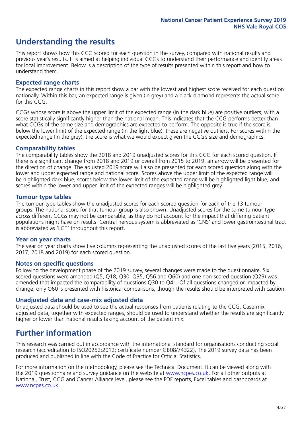### **Understanding the results**

This report shows how this CCG scored for each question in the survey, compared with national results and previous year's results. It is aimed at helping individual CCGs to understand their performance and identify areas for local improvement. Below is a description of the type of results presented within this report and how to understand them.

#### **Expected range charts**

The expected range charts in this report show a bar with the lowest and highest score received for each question nationally. Within this bar, an expected range is given (in grey) and a black diamond represents the actual score for this CCG.

CCGs whose score is above the upper limit of the expected range (in the dark blue) are positive outliers, with a score statistically significantly higher than the national mean. This indicates that the CCG performs better than what CCGs of the same size and demographics are expected to perform. The opposite is true if the score is below the lower limit of the expected range (in the light blue); these are negative outliers. For scores within the expected range (in the grey), the score is what we would expect given the CCG's size and demographics.

#### **Comparability tables**

The comparability tables show the 2018 and 2019 unadjusted scores for this CCG for each scored question. If there is a significant change from 2018 and 2019 or overall from 2015 to 2019, an arrow will be presented for the direction of change. The adjusted 2019 score will also be presented for each scored question along with the lower and upper expected range and national score. Scores above the upper limit of the expected range will be highlighted dark blue, scores below the lower limit of the expected range will be highlighted light blue, and scores within the lower and upper limit of the expected ranges will be highlighted grey.

#### **Tumour type tables**

The tumour type tables show the unadjusted scores for each scored question for each of the 13 tumour groups. The national score for that tumour group is also shown. Unadjusted scores for the same tumour type across different CCGs may not be comparable, as they do not account for the impact that differing patient populations might have on results. Central nervous system is abbreviated as 'CNS' and lower gastrointestinal tract is abbreviated as 'LGT' throughout this report.

#### **Year on year charts**

The year on year charts show five columns representing the unadjusted scores of the last five years (2015, 2016, 2017, 2018 and 2019) for each scored question.

#### **Notes on specific questions**

Following the development phase of the 2019 survey, several changes were made to the questionnaire. Six scored questions were amended (Q5, Q18, Q30, Q35, Q56 and Q60) and one non-scored question (Q29) was amended that impacted the comparability of questions Q30 to Q41. Of all questions changed or impacted by change, only Q60 is presented with historical comparisons; though the results should be interpreted with caution.

#### **Unadjusted data and case-mix adjusted data**

Unadjusted data should be used to see the actual responses from patients relating to the CCG. Case-mix adjusted data, together with expected ranges, should be used to understand whether the results are significantly higher or lower than national results taking account of the patient mix.

### **Further information**

This research was carried out in accordance with the international standard for organisations conducting social research (accreditation to ISO20252:2012; certificate number GB08/74322). The 2019 survey data has been produced and published in line with the Code of Practice for Official Statistics.

For more information on the methodology, please see the Technical Document. It can be viewed along with the 2019 questionnaire and survey quidance on the website at [www.ncpes.co.uk](https://www.ncpes.co.uk/supporting-documents). For all other outputs at National, Trust, CCG and Cancer Alliance level, please see the PDF reports, Excel tables and dashboards at [www.ncpes.co.uk.](https://www.ncpes.co.uk/current-results)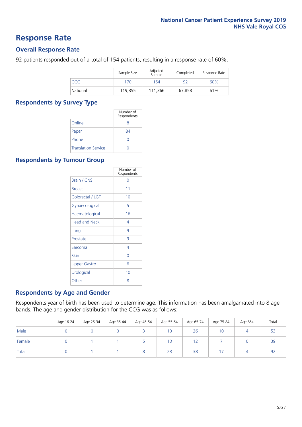### **Response Rate**

#### **Overall Response Rate**

92 patients responded out of a total of 154 patients, resulting in a response rate of 60%.

|          | Sample Size | Adjusted<br>Sample | Completed | Response Rate |
|----------|-------------|--------------------|-----------|---------------|
| CCG      | 170         | 154                | 92        | 60%           |
| National | 119.855     | 111.366            | 67.858    | 61%           |

#### **Respondents by Survey Type**

|                            | Number of<br>Respondents |
|----------------------------|--------------------------|
| Online                     | 8                        |
| Paper                      | 84                       |
| Phone                      |                          |
| <b>Translation Service</b> |                          |

#### **Respondents by Tumour Group**

|                      | Number of<br>Respondents |
|----------------------|--------------------------|
| Brain / CNS          | ∩                        |
| <b>Breast</b>        | 11                       |
| Colorectal / LGT     | 10                       |
| Gynaecological       | 5                        |
| Haematological       | 16                       |
| <b>Head and Neck</b> | 4                        |
| Lung                 | 9                        |
| Prostate             | 9                        |
| Sarcoma              | 4                        |
| Skin                 | Ω                        |
| Upper Gastro         | 6                        |
| Urological           | 10                       |
| Other                | 8                        |

#### **Respondents by Age and Gender**

Respondents year of birth has been used to determine age. This information has been amalgamated into 8 age bands. The age and gender distribution for the CCG was as follows:

|        | Age 16-24 | Age 25-34 | Age 35-44 | Age 45-54 | Age 55-64 | Age 65-74 | Age 75-84 | Age 85+ | Total |
|--------|-----------|-----------|-----------|-----------|-----------|-----------|-----------|---------|-------|
| Male   |           |           |           |           | 10        | 26        | 10        | 4       | 53    |
| Female |           |           |           |           | 13        | 12        |           |         | 39    |
| Total  |           |           |           |           | 23        | 38        |           | 4       | 92    |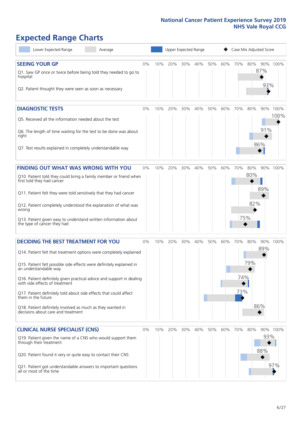# **Expected Range Charts**

| Lower Expected Range<br>Average                                                                                                                                                                                                                                                                                                                                                                                                                                                                                             | Upper Expected Range<br>Case Mix Adjusted Score |     |     |     |     |     |     |                   |                                 |                        |
|-----------------------------------------------------------------------------------------------------------------------------------------------------------------------------------------------------------------------------------------------------------------------------------------------------------------------------------------------------------------------------------------------------------------------------------------------------------------------------------------------------------------------------|-------------------------------------------------|-----|-----|-----|-----|-----|-----|-------------------|---------------------------------|------------------------|
| <b>SEEING YOUR GP</b><br>Q1. Saw GP once or twice before being told they needed to go to<br>hospital<br>Q2. Patient thought they were seen as soon as necessary                                                                                                                                                                                                                                                                                                                                                             | 0%                                              | 10% | 20% | 30% | 40% | 50% | 60% | 70%               | 80%<br>87%                      | 90% 100%<br>93%        |
| <b>DIAGNOSTIC TESTS</b><br>Q5. Received all the information needed about the test<br>Q6. The length of time waiting for the test to be done was about<br>right<br>Q7. Test results explained in completely understandable way                                                                                                                                                                                                                                                                                               | 0%                                              | 10% | 20% | 30% | 40% | 50% | 60% | 70%               | 80%<br>90%<br>91%<br>86%        | 100%<br>100%           |
| <b>FINDING OUT WHAT WAS WRONG WITH YOU</b><br>Q10. Patient told they could bring a family member or friend when<br>first told they had cancer<br>Q11. Patient felt they were told sensitively that they had cancer<br>Q12. Patient completely understood the explanation of what was<br>wrong<br>Q13. Patient given easy to understand written information about<br>the type of cancer they had                                                                                                                             | 0%                                              | 10% | 20% | 30% | 40% | 50% | 60% | 70%<br>75%        | 80%<br>80%<br>89%<br>82%        | 90% 100%               |
| <b>DECIDING THE BEST TREATMENT FOR YOU</b><br>Q14. Patient felt that treatment options were completely explained<br>Q15. Patient felt possible side effects were definitely explained in<br>an understandable way<br>Q16. Patient definitely given practical advice and support in dealing<br>with side effects of treatment<br>Q17. Patient definitely told about side effects that could affect<br>them in the future<br>Q18. Patient definitely involved as much as they wanted in<br>decisions about care and treatment | 0%                                              | 10% | 20% | 30% | 40% | 50% | 60% | 70%<br>74%<br>73% | 90%<br>80%<br>89%<br>79%<br>86% | 100%                   |
| <b>CLINICAL NURSE SPECIALIST (CNS)</b><br>Q19. Patient given the name of a CNS who would support them<br>through their treatment<br>Q20. Patient found it very or quite easy to contact their CNS<br>Q21. Patient got understandable answers to important questions<br>all or most of the time                                                                                                                                                                                                                              | 0%                                              | 10% | 20% | 30% | 40% | 50% | 60% | 70%               | 80%<br>88%                      | 90% 100%<br>93%<br>97% |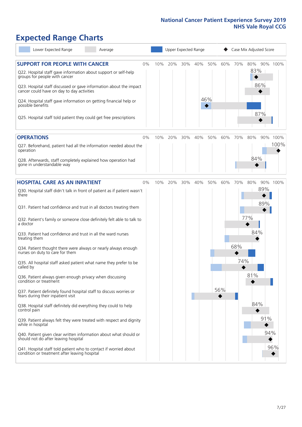# **Expected Range Charts**

| Lower Expected Range<br>Average                                                                                                                                                                                                                                                                                                                                                                                               |    |     |     |     | Upper Expected Range |            |     |     | Case Mix Adjusted Score  |                  |
|-------------------------------------------------------------------------------------------------------------------------------------------------------------------------------------------------------------------------------------------------------------------------------------------------------------------------------------------------------------------------------------------------------------------------------|----|-----|-----|-----|----------------------|------------|-----|-----|--------------------------|------------------|
| <b>SUPPORT FOR PEOPLE WITH CANCER</b><br>Q22. Hospital staff gave information about support or self-help<br>groups for people with cancer<br>Q23. Hospital staff discussed or gave information about the impact<br>cancer could have on day to day activities<br>Q24. Hospital staff gave information on getting financial help or<br>possible benefits<br>Q25. Hospital staff told patient they could get free prescriptions | 0% | 10% | 20% | 30% | 40%                  | 50%<br>46% | 60% | 70% | 80%<br>83%<br>86%<br>87% | 90% 100%         |
| <b>OPERATIONS</b><br>Q27. Beforehand, patient had all the information needed about the<br>operation                                                                                                                                                                                                                                                                                                                           | 0% | 10% | 20% | 30% | 40%                  | 50%        | 60% | 70% | 80%<br>84%               | 90% 100%<br>100% |
| Q28. Afterwards, staff completely explained how operation had<br>gone in understandable way                                                                                                                                                                                                                                                                                                                                   |    |     |     |     |                      |            |     |     |                          |                  |
| <b>HOSPITAL CARE AS AN INPATIENT</b><br>Q30. Hospital staff didn't talk in front of patient as if patient wasn't<br>there                                                                                                                                                                                                                                                                                                     | 0% | 10% | 20% | 30% | 40%                  | 50%        | 60% | 70% | 80%<br>89%<br>89%        | 90% 100%         |
| Q31. Patient had confidence and trust in all doctors treating them<br>Q32. Patient's family or someone close definitely felt able to talk to<br>a doctor                                                                                                                                                                                                                                                                      |    |     |     |     |                      |            |     |     | 77%                      |                  |
| Q33. Patient had confidence and trust in all the ward nurses<br>treating them                                                                                                                                                                                                                                                                                                                                                 |    |     |     |     |                      |            |     |     | 84%                      |                  |
| Q34. Patient thought there were always or nearly always enough<br>nurses on duty to care for them                                                                                                                                                                                                                                                                                                                             |    |     |     |     |                      |            |     | 68% |                          |                  |
| Q35. All hospital staff asked patient what name they prefer to be<br>called by                                                                                                                                                                                                                                                                                                                                                |    |     |     |     |                      |            |     | 74% | 81%                      |                  |
| Q36. Patient always given enough privacy when discussing<br>condition or treatment<br>Q37. Patient definitely found hospital staff to discuss worries or<br>fears during their inpatient visit                                                                                                                                                                                                                                |    |     |     |     |                      |            | 56% |     |                          |                  |
| Q38. Hospital staff definitely did everything they could to help<br>control pain                                                                                                                                                                                                                                                                                                                                              |    |     |     |     |                      |            |     |     | 84%                      |                  |
| Q39. Patient always felt they were treated with respect and dignity<br>while in hospital                                                                                                                                                                                                                                                                                                                                      |    |     |     |     |                      |            |     |     | 91%                      |                  |
| Q40. Patient given clear written information about what should or<br>should not do after leaving hospital                                                                                                                                                                                                                                                                                                                     |    |     |     |     |                      |            |     |     |                          | 94%              |
| Q41. Hospital staff told patient who to contact if worried about<br>condition or treatment after leaving hospital                                                                                                                                                                                                                                                                                                             |    |     |     |     |                      |            |     |     |                          | 96%              |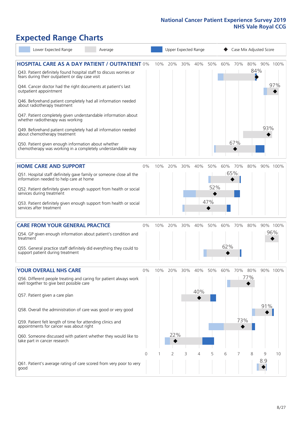# **Expected Range Charts**

| Lower Expected Range                                                                                                                                                                                                                                                                                                                                                                                                                                                                                                                                                                                                                                                                                   | Average |       |     | Upper Expected Range |     |            |                   |            |            | Case Mix Adjusted Score |          |                 |
|--------------------------------------------------------------------------------------------------------------------------------------------------------------------------------------------------------------------------------------------------------------------------------------------------------------------------------------------------------------------------------------------------------------------------------------------------------------------------------------------------------------------------------------------------------------------------------------------------------------------------------------------------------------------------------------------------------|---------|-------|-----|----------------------|-----|------------|-------------------|------------|------------|-------------------------|----------|-----------------|
| <b>HOSPITAL CARE AS A DAY PATIENT / OUTPATIENT 0%</b><br>Q43. Patient definitely found hospital staff to discuss worries or<br>fears during their outpatient or day case visit<br>Q44. Cancer doctor had the right documents at patient's last<br>outpatient appointment<br>Q46. Beforehand patient completely had all information needed<br>about radiotherapy treatment<br>Q47. Patient completely given understandable information about<br>whether radiotherapy was working<br>Q49. Beforehand patient completely had all information needed<br>about chemotherapy treatment<br>Q50. Patient given enough information about whether<br>chemotherapy was working in a completely understandable way |         |       | 10% | 20%                  | 30% | 40%        | 50%               | 60%        | 70%<br>67% | 80%<br>84%              | 93%      | 90% 100%<br>97% |
| <b>HOME CARE AND SUPPORT</b><br>Q51. Hospital staff definitely gave family or someone close all the<br>information needed to help care at home<br>Q52. Patient definitely given enough support from health or social<br>services during treatment<br>Q53. Patient definitely given enough support from health or social<br>services after treatment                                                                                                                                                                                                                                                                                                                                                    |         | 0%    | 10% | 20%                  | 30% | 40%        | 50%<br>52%<br>47% | 60%        | 70%<br>65% | 80%                     |          | 90% 100%        |
| <b>CARE FROM YOUR GENERAL PRACTICE</b><br>Q54. GP given enough information about patient's condition and<br>treatment<br>Q55. General practice staff definitely did everything they could to<br>support patient during treatment                                                                                                                                                                                                                                                                                                                                                                                                                                                                       |         | 0%    | 10% | 20%                  | 30% | 40%        | 50%               | 60%<br>62% | 70%        | 80%                     |          | 90% 100%<br>96% |
| <b>YOUR OVERALL NHS CARE</b><br>Q56. Different people treating and caring for patient always work<br>well together to give best possible care<br>Q57. Patient given a care plan<br>Q58. Overall the administration of care was good or very good<br>Q59. Patient felt length of time for attending clinics and<br>appointments for cancer was about right<br>Q60. Someone discussed with patient whether they would like to<br>take part in cancer research                                                                                                                                                                                                                                            |         | $0\%$ | 10% | 20%<br>22%           | 30% | 40%<br>40% | 50%               | 60%        | 70%<br>73% | 80%<br>77%              | 91%      | 90% 100%        |
| Q61. Patient's average rating of care scored from very poor to very<br>good                                                                                                                                                                                                                                                                                                                                                                                                                                                                                                                                                                                                                            |         | Ω     |     | 2                    | 3   | 4          | 5                 | 6          |            | 8                       | 9<br>8.9 | 10              |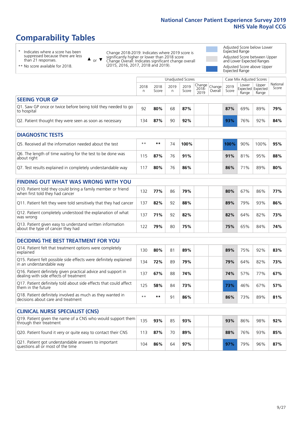# **Comparability Tables**

\* Indicates where a score has been suppressed because there are less than 21 responses.

\*\* No score available for 2018.

 $\triangle$  or  $\nabla$ Change 2018-2019: Indicates where 2019 score is significantly higher or lower than 2018 score Change Overall: Indicates significant change overall (2015, 2016, 2017, 2018 and 2019).

Adjusted Score below Lower Expected Range Adjusted Score between Upper and Lower Expected Ranges Adjusted Score above Upper

| Expected Range                                                              |                                               |               |           |               |                                                       |         |               |                            |                            |                   |  |  |  |
|-----------------------------------------------------------------------------|-----------------------------------------------|---------------|-----------|---------------|-------------------------------------------------------|---------|---------------|----------------------------|----------------------------|-------------------|--|--|--|
|                                                                             | Unadjusted Scores<br>Case Mix Adjusted Scores |               |           |               |                                                       |         |               |                            |                            |                   |  |  |  |
|                                                                             | 2018<br>n                                     | 2018<br>Score | 2019<br>n | 2019<br>Score | $\sqrt{(\text{Change})^2}$ Change<br>$2018 -$<br>2019 | Overall | 2019<br>Score | Lower<br>Expected<br>Range | Upper<br>Expected<br>Range | National<br>Score |  |  |  |
| <b>SEEING YOUR GP</b>                                                       |                                               |               |           |               |                                                       |         |               |                            |                            |                   |  |  |  |
| Q1. Saw GP once or twice before being told they needed to go<br>to hospital | 92                                            | 80%           | 68        | 87%           |                                                       |         | 87%           | 69%                        | 89%                        | 79%               |  |  |  |
| Q2. Patient thought they were seen as soon as necessary                     | 134                                           | 87%           | 90        | 92%           |                                                       |         | 93%           | 76%                        | 92%                        | 84%               |  |  |  |
| <b>DIAGNOSTIC TESTS</b>                                                     |                                               |               |           |               |                                                       |         |               |                            |                            |                   |  |  |  |

| <b>PIASIVOJIJE I LJIJ</b>                                                 |          |     |    |      |         |     |      |     |
|---------------------------------------------------------------------------|----------|-----|----|------|---------|-----|------|-----|
| Q5. Received all the information needed about the test                    | $**$     | **  | 74 | 100% | $100\%$ | 90% | 100% | 95% |
| Q6. The length of time waiting for the test to be done was<br>about right | 115      | 87% | 76 | 91%  | 91%     | 81% | 95%  | 88% |
| Q7. Test results explained in completely understandable way               | $11^{-}$ | 80% | 76 | 86%  | 86%     | 71% | 89%  | 80% |

| <b>FINDING OUT WHAT WAS WRONG WITH YOU</b>                                                      |     |     |    |     |     |     |     |     |
|-------------------------------------------------------------------------------------------------|-----|-----|----|-----|-----|-----|-----|-----|
| Q10. Patient told they could bring a family member or friend<br>when first told they had cancer | 132 | 77% | 86 | 79% | 80% | 67% | 86% | 77% |
| Q11. Patient felt they were told sensitively that they had cancer                               | 137 | 82% | 92 | 88% | 89% | 79% | 93% | 86% |
| Q12. Patient completely understood the explanation of what<br>was wrong                         | 137 | 71% | 92 | 82% | 82% | 64% | 82% | 73% |
| Q13. Patient given easy to understand written information<br>about the type of cancer they had  | 122 | 79% | 80 | 75% | 75% | 65% | 84% | 74% |

| <b>DECIDING THE BEST TREATMENT FOR YOU</b>                                                              |      |     |    |     |     |     |     |     |
|---------------------------------------------------------------------------------------------------------|------|-----|----|-----|-----|-----|-----|-----|
| Q14. Patient felt that treatment options were completely<br>explained                                   | 130  | 80% | 81 | 89% | 89% | 75% | 92% | 83% |
| Q15. Patient felt possible side effects were definitely explained<br>in an understandable way           | 134  | 72% | 89 | 79% | 79% | 64% | 82% | 73% |
| Q16. Patient definitely given practical advice and support in<br>dealing with side effects of treatment | 137  | 67% | 88 | 74% | 74% | 57% | 77% | 67% |
| Q17. Patient definitely told about side effects that could affect<br>them in the future                 | 125  | 58% | 84 | 73% | 73% | 46% | 67% | 57% |
| Q18. Patient definitely involved as much as they wanted in<br>decisions about care and treatment        | $**$ | **  | 91 | 86% | 86% | 73% | 89% | 81% |

| <b>CLINICAL NURSE SPECIALIST (CNS)</b>                                                    |     |     |    |     |     |     |     |     |
|-------------------------------------------------------------------------------------------|-----|-----|----|-----|-----|-----|-----|-----|
| Q19. Patient given the name of a CNS who would support them<br>through their treatment    | 135 | 93% | 85 | 93% | 93% | 86% | 98% | 92% |
| Q20. Patient found it very or quite easy to contact their CNS                             | 113 | 87% | 70 | 89% | 88% | 76% | 93% | 85% |
| Q21. Patient got understandable answers to important<br>questions all or most of the time | 104 | 86% | 64 | 97% | 97% | 79% | 96% | 87% |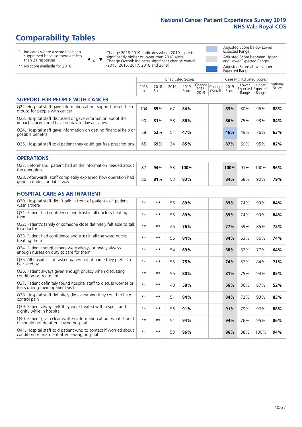# **Comparability Tables**

\* Indicates where a score has been suppressed because there are less than 21 responses.

\*\* No score available for 2018.

 $\triangle$  or  $\nabla$ 

Change 2018-2019: Indicates where 2019 score is significantly higher or lower than 2018 score Change Overall: Indicates significant change overall (2015, 2016, 2017, 2018 and 2019).

Adjusted Score below Lower Expected Range Adjusted Score between Upper and Lower Expected Ranges Adjusted Score above Upper Expected Range

|                                                                                                                   |              |               |                      | <b>Unadjusted Scores</b> |                         |                   |               | Case Mix Adjusted Scores            |                |                   |
|-------------------------------------------------------------------------------------------------------------------|--------------|---------------|----------------------|--------------------------|-------------------------|-------------------|---------------|-------------------------------------|----------------|-------------------|
|                                                                                                                   | 2018<br>n    | 2018<br>Score | 2019<br>$\mathsf{n}$ | 2019<br>Score            | Change<br>2018-<br>2019 | Change<br>Overall | 2019<br>Score | Lower<br>Expected Expected<br>Range | Upper<br>Range | National<br>Score |
| <b>SUPPORT FOR PEOPLE WITH CANCER</b>                                                                             |              |               |                      |                          |                         |                   |               |                                     |                |                   |
| Q22. Hospital staff gave information about support or self-help<br>groups for people with cancer                  | 104          | 85%           | 67                   | 84%                      |                         |                   | 83%           | 80%                                 | 96%            | 88%               |
| Q23. Hospital staff discussed or gave information about the<br>impact cancer could have on day to day activities  | 90           | 81%           | 58                   | 86%                      |                         |                   | 86%           | 75%                                 | 93%            | 84%               |
| Q24. Hospital staff gave information on getting financial help or<br>possible benefits                            | 58           | 52%           | 51                   | 47%                      |                         |                   | 46%           | 49%                                 | 76%            | 63%               |
| Q25. Hospital staff told patient they could get free prescriptions                                                | 65           | 69%           | 34                   | 85%                      |                         |                   | 87%           | 69%                                 | 95%            | 82%               |
| <b>OPERATIONS</b>                                                                                                 |              |               |                      |                          |                         |                   |               |                                     |                |                   |
| Q27. Beforehand, patient had all the information needed about<br>the operation                                    | 87           | 94%           | 53                   | 100%                     |                         |                   | 100%          | 91%                                 | 100%           | 96%               |
| Q28. Afterwards, staff completely explained how operation had<br>gone in understandable way                       | 86           | 81%           | 53                   | 83%                      |                         |                   | 84%           | 68%                                 | 90%            | 79%               |
| <b>HOSPITAL CARE AS AN INPATIENT</b>                                                                              |              |               |                      |                          |                         |                   |               |                                     |                |                   |
| Q30. Hospital staff didn't talk in front of patient as if patient<br>wasn't there                                 | $***$        | **            | 56                   | 89%                      |                         |                   | 89%           | 74%                                 | 93%            | 84%               |
| Q31. Patient had confidence and trust in all doctors treating<br>them                                             | $**$         | $***$         | 56                   | 89%                      |                         |                   | 89%           | 74%                                 | 93%            | 84%               |
| Q32. Patient's family or someone close definitely felt able to talk<br>to a doctor                                | $\star\star$ | **            | 46                   | 76%                      |                         |                   | 77%           | 59%                                 | 85%            | 72%               |
| O33. Patient had confidence and trust in all the ward nurses<br>treating them                                     | $* *$        | **            | 56                   | 84%                      |                         |                   | 84%           | 63%                                 | 86%            | 74%               |
| Q34. Patient thought there were always or nearly always<br>enough nurses on duty to care for them                 | $**$         | **            | 54                   | 69%                      |                         |                   | 68%           | 52%                                 | 77%            | 64%               |
| Q35. All hospital staff asked patient what name they prefer to<br>be called by                                    | $**$         | **            | 55                   | 75%                      |                         |                   | 74%           | 57%                                 | 84%            | 71%               |
| Q36. Patient always given enough privacy when discussing<br>condition or treatment                                | $**$         | **            | 56                   | 80%                      |                         |                   | 81%           | 75%                                 | 94%            | 85%               |
| Q37. Patient definitely found hospital staff to discuss worries or<br>fears during their inpatient visit          | $**$         | **            | 40                   | 58%                      |                         |                   | 56%           | 36%                                 | 67%            | 52%               |
| Q38. Hospital staff definitely did everything they could to help<br>control pain                                  | $\star\star$ | **            | 51                   | 84%                      |                         |                   | 84%           | 72%                                 | 93%            | 83%               |
| Q39. Patient always felt they were treated with respect and<br>dignity while in hospital                          | $* *$        | **            | 56                   | 91%                      |                         |                   | 91%           | 79%                                 | 96%            | 88%               |
| Q40. Patient given clear written information about what should<br>or should not do after leaving hospital         | $\star\star$ | **            | 51                   | 94%                      |                         |                   | 94%           | 76%                                 | 95%            | 86%               |
| Q41. Hospital staff told patient who to contact if worried about<br>condition or treatment after leaving hospital | $\star\star$ | **            | 53                   | 96%                      |                         |                   | 96%           | 88%                                 | 100%           | 94%               |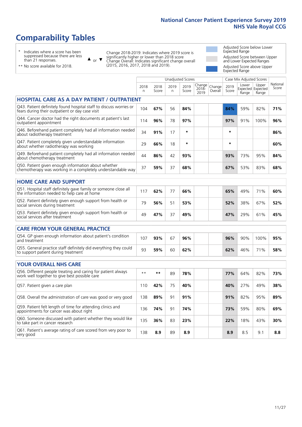# **Comparability Tables**

\* Indicates where a score has been suppressed because there are less than 21 responses.

\*\* No score available for 2018.

 $\triangle$  or  $\nabla$ 

Change 2018-2019: Indicates where 2019 score is significantly higher or lower than 2018 score Change Overall: Indicates significant change overall (2015, 2016, 2017, 2018 and 2019).

Adjusted Score below Lower Expected Range Adjusted Score between Upper and Lower Expected Ranges Adjusted Score above Upper Expected Range

|                                                                                                                       |           |               | <b>Unadjusted Scores</b> |               |                         |                   |               | Case Mix Adjusted Scores |                                     |                   |
|-----------------------------------------------------------------------------------------------------------------------|-----------|---------------|--------------------------|---------------|-------------------------|-------------------|---------------|--------------------------|-------------------------------------|-------------------|
|                                                                                                                       | 2018<br>n | 2018<br>Score | 2019<br>n                | 2019<br>Score | Change<br>2018-<br>2019 | Change<br>Overall | 2019<br>Score | Lower<br>Range           | Upper<br>Expected Expected<br>Range | National<br>Score |
| <b>HOSPITAL CARE AS A DAY PATIENT / OUTPATIENT</b>                                                                    |           |               |                          |               |                         |                   |               |                          |                                     |                   |
| Q43. Patient definitely found hospital staff to discuss worries or<br>fears during their outpatient or day case visit | 104       | 67%           | 56                       | 84%           |                         |                   | 84%           | 59%                      | 82%                                 | 71%               |
| Q44. Cancer doctor had the right documents at patient's last<br>outpatient appointment                                | 114       | 96%           | 78                       | 97%           |                         |                   | 97%           | 91%                      | 100%                                | 96%               |
| Q46. Beforehand patient completely had all information needed<br>about radiotherapy treatment                         | 34        | 91%           | 17                       | $\star$       |                         |                   | $\star$       |                          |                                     | 86%               |
| Q47. Patient completely given understandable information<br>about whether radiotherapy was working                    | 29        | 66%           | 18                       | $\star$       |                         |                   | $\star$       |                          |                                     | 60%               |
| Q49. Beforehand patient completely had all information needed<br>about chemotherapy treatment                         | 44        | 86%           | 42                       | 93%           |                         |                   | 93%           | 73%                      | 95%                                 | 84%               |
| Q50. Patient given enough information about whether<br>chemotherapy was working in a completely understandable way    | 37        | 59%           | 37                       | 68%           |                         |                   | 67%           | 53%                      | 83%                                 | 68%               |
| <b>HOME CARE AND SUPPORT</b>                                                                                          |           |               |                          |               |                         |                   |               |                          |                                     |                   |
| Q51. Hospital staff definitely gave family or someone close all<br>the information needed to help care at home        | 117       | 62%           | 77                       | 66%           |                         |                   | 65%           | 49%                      | 71%                                 | 60%               |
| Q52. Patient definitely given enough support from health or<br>social services during treatment                       | 79        | 56%           | 51                       | 53%           |                         |                   | 52%           | 38%                      | 67%                                 | 52%               |
| Q53. Patient definitely given enough support from health or<br>social services after treatment                        | 49        | 47%           | 37                       | 49%           |                         |                   | 47%           | 29%                      | 61%                                 | 45%               |
| <b>CARE FROM YOUR GENERAL PRACTICE</b>                                                                                |           |               |                          |               |                         |                   |               |                          |                                     |                   |
| Q54. GP given enough information about patient's condition<br>and treatment                                           | 107       | 93%           | 67                       | 96%           |                         |                   | 96%           | 90%                      | 100%                                | 95%               |
| Q55. General practice staff definitely did everything they could<br>to support patient during treatment               | 93        | 59%           | 60                       | 62%           |                         |                   | 62%           | 46%                      | 71%                                 | 58%               |
| <b>YOUR OVERALL NHS CARE</b>                                                                                          |           |               |                          |               |                         |                   |               |                          |                                     |                   |
| Q56. Different people treating and caring for patient always<br>work well together to give best possible care         | $* *$     | $***$         | 89                       | 78%           |                         |                   | 77%           | 64%                      | 82%                                 | 73%               |
| Q57. Patient given a care plan                                                                                        | 110       | 42%           | 75                       | 40%           |                         |                   | 40%           | 27%                      | 49%                                 | 38%               |
| Q58. Overall the administration of care was good or very good                                                         | 138       | 89%           | 91                       | 91%           |                         |                   | 91%           | 82%                      | 95%                                 | 89%               |
| Q59. Patient felt length of time for attending clinics and<br>appointments for cancer was about right                 | 136       | 74%           | 91                       | 74%           |                         |                   | 73%           | 59%                      | 80%                                 | 69%               |
| Q60. Someone discussed with patient whether they would like<br>to take part in cancer research                        | 135       | 36%           | 83                       | 23%           |                         |                   | 22%           | 18%                      | 43%                                 | 30%               |
| Q61. Patient's average rating of care scored from very poor to<br>very good                                           | 138       | 8.9           | 89                       | 8.9           |                         |                   | 8.9           | 8.5                      | 9.1                                 | 8.8               |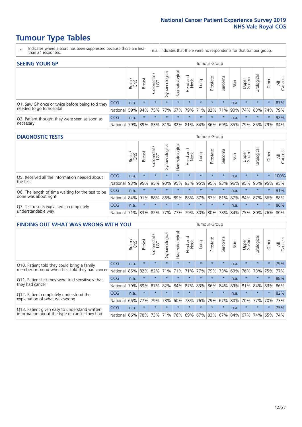# **Tumour Type Tables**

- \* Indicates where a score has been suppressed because there are less than 21 responses.
- n.a. Indicates that there were no respondents for that tumour group.

| <b>SEEING YOUR GP</b>                           |            |              |               |            |                    |                |                  |         | Tumour Group |         |      |                 |                                                 |         |                |
|-------------------------------------------------|------------|--------------|---------------|------------|--------------------|----------------|------------------|---------|--------------|---------|------|-----------------|-------------------------------------------------|---------|----------------|
|                                                 |            | Brain<br>CNS | <b>Breast</b> | Colorectal | ᠊ᢛ<br>Gynaecologic | Haematological | Head and<br>Neck | Lung    | Prostate     | Sarcoma | Skin | Upper<br>Gastro | Urologica                                       | Other   | All<br>Cancers |
| Q1. Saw GP once or twice before being told they | <b>CCG</b> | n.a.         | $\star$       | $\star$    | $\star$            | $\star$        | $\star$          | $\star$ | $\star$      | $\star$ | n.a. | $\star$         | $\star$                                         | $\star$ | 87%            |
| needed to go to hospital                        | National   | 59%          |               |            |                    |                |                  |         |              |         |      |                 | 94% 75% 77% 67% 79% 71% 82% 71% 90% 74% 83% 74% |         | 79%            |
| Q2. Patient thought they were seen as soon as   | <b>CCG</b> | n.a.         | $\star$       | $\star$    | $\star$            | $\star$        | $\star$          | $\star$ | $\star$      | $\star$ | n.a. | $\star$         | $\star$                                         | $\star$ | 92%            |
| necessary                                       | National   | 79%          |               | 89% 83%    |                    |                |                  |         |              |         |      |                 | 81% 82% 81% 84% 86% 69% 85% 79% 85% 79%         |         | 84%            |

#### **DIAGNOSTIC TESTS** Tumour Group

|                                                   |                                                          | Brain<br>CNS | <b>Breast</b> | Colorectal | Gynaecological | Haematological | Head and<br>Neck | Lung    | Prostate | Sarcoma | Skin | Upper<br>Gastro | rological                               | Other   | All<br>Cancers |
|---------------------------------------------------|----------------------------------------------------------|--------------|---------------|------------|----------------|----------------|------------------|---------|----------|---------|------|-----------------|-----------------------------------------|---------|----------------|
| Q5. Received all the information needed about     | <b>CCG</b>                                               | n.a.         | $\star$       | $\star$    | $\star$        |                | $\star$          | $\star$ | $\star$  | $\star$ | n.a. | $\star$         | $\star$                                 |         | 100%           |
| the test                                          | National                                                 | 93%          | 95%           | 95%        | 93%            |                | 95% 93%          |         | 95% 95%  | 93%     | 96%  | 95%             | 95% 95%                                 |         | 95%            |
| Q6. The length of time waiting for the test to be | CCG                                                      | n.a.         | $\star$       | $\star$    | $\star$        | $\star$        | $\star$          | $\star$ | $\star$  | $\star$ | n.a. | $\star$         | $\star$                                 | $\star$ | 91%            |
| done was about right                              | National l                                               | 84% 91%      |               | 88%        |                |                |                  |         |          |         |      |                 | 86% 89% 88% 87% 87% 81% 87% 84% 87% 86% |         | 88%            |
| Q7. Test results explained in completely          | <b>CCG</b>                                               | n.a.         | $\star$       | $\star$    | $\star$        | $\star$        | $\star$          | $\star$ | $\star$  | $\star$ | n.a. | $\star$         | $\star$                                 | $\star$ | 86%            |
| understandable way                                | National 71% 83% 82% 77% 77% 79% 80% 80% 78% 84% 75% 80% |              |               |            |                |                |                  |         |          |         |      |                 |                                         |         | 76% 80%        |

| <b>FINDING OUT WHAT WAS WRONG WITH YOU</b>        |            |       |               |                             |                |                |                        |         | <b>Tumour Group</b> |         |      |                 |           |         |                |
|---------------------------------------------------|------------|-------|---------------|-----------------------------|----------------|----------------|------------------------|---------|---------------------|---------|------|-----------------|-----------|---------|----------------|
|                                                   |            | Brain | <b>Breast</b> | olorectal.<br>LGT<br>$\cup$ | Gynaecological | Haematological | ad and<br>Neck<br>Head | Lung    | Prostate            | Sarcoma | Skin | Upper<br>Gastro | Urologica | Other   | All<br>Cancers |
| Q10. Patient told they could bring a family       | <b>CCG</b> | n.a.  | $\star$       | $\star$                     | $\star$        | $\star$        | $\star$                | $\star$ | $\star$             | $\star$ | n.a. | $\star$         | $\star$   | $\star$ | 79%            |
| member or friend when first told they had cancer  | National   | 85%   | 82%           | 82%                         | 71%            | 71%            | 71%                    | 77%     | 79%                 | 73%     | 69%  | 76%             | 73%       | 75%     | 77%            |
| Q11. Patient felt they were told sensitively that | <b>CCG</b> | n.a.  | $\star$       | $\star$                     |                | $\star$        | $\star$                | $\star$ | $\star$             | $\star$ | n.a. | $\star$         | $\star$   | $\star$ | 88%            |
| they had cancer                                   | National   | 79%   | 89%           | 87%                         | 82%            | 84% 87% 83%    |                        |         | 86%                 | 84%     | 89%  | 81%             | 84% 83%   |         | 86%            |
| Q12. Patient completely understood the            | <b>CCG</b> | n.a.  | $\star$       | $\star$                     |                |                | $\star$                | $\star$ | $\star$             | $\star$ | n.a. | $\star$         | $\star$   | $\star$ | 82%            |
| explanation of what was wrong                     | National   | 66%   | 77%           | 79%                         | 73%            | 60%            | 78%                    | 76%     | 79%                 | 67%     | 80%  | 70%             | 77%       | 70%     | 73%            |
| Q13. Patient given easy to understand written     | <b>CCG</b> | n.a.  | $\star$       | $\star$                     | $\star$        | $\star$        | $\star$                | $\star$ | $\star$             | $\star$ | n.a. | $\star$         | $\star$   | $\star$ | 75%            |
| information about the type of cancer they had     | National   | 66%   | 78%           | 73%                         |                |                |                        |         | 71% 76% 69% 67% 83% | 67%     | 84%  | 67%             | 74%       | 65%     | 74%            |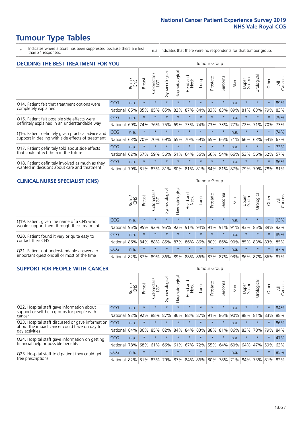# **Tumour Type Tables**

- \* Indicates where a score has been suppressed because there are less than 21 responses.
- n.a. Indicates that there were no respondents for that tumour group.

| DECIDING THE BEST TREATMENT FOR YOU                |              |       |               |                 |                |                |                  |             | Tumour Group                    |              |      |                 |            |             |                |
|----------------------------------------------------|--------------|-------|---------------|-----------------|----------------|----------------|------------------|-------------|---------------------------------|--------------|------|-----------------|------------|-------------|----------------|
|                                                    |              | Brain | <b>Breast</b> | ╮<br>Colorectal | Gynaecological | Haematological | Head and<br>Neck | <b>Dung</b> | Prostate                        | arcoma<br>ιñ | Skin | Upper<br>Gastro | Jrological | Other       | All<br>Cancers |
| Q14. Patient felt that treatment options were      | <b>CCG</b>   | n.a.  | $\star$       | $\star$         | $\star$        | $\star$        | $\star$          | $\star$     | $\star$                         | $\star$      | n.a. | $\star$         | $\star$    | $\star$     | 89%            |
| completely explained                               | National     | 85%   | 85%           | 85%             | 85%            | 82%            | 87%              | 84%         | 83%                             | 83%          | 89%  | 81%             | 83%        | 79%         | 83%            |
| Q15. Patient felt possible side effects were       | <b>CCG</b>   | n.a.  | $\star$       |                 |                |                | $\star$          | $\star$     | $\star$                         | $\star$      | n.a. | $\star$         | $\star$    | $\star$     | 79%            |
| definitely explained in an understandable way      | National     | 69%   | 74%           | 76%             | 75%            | 69%            | 73%              | 74%         | 73%                             | 73%          | 77%  | 72%             | 71%        | 70%         | 73%            |
| Q16. Patient definitely given practical advice and | <b>CCG</b>   | n.a.  | $\star$       |                 |                |                |                  |             | $\star$                         | $\star$      | n.a. |                 |            | $\star$     | 74%            |
| support in dealing with side effects of treatment  | National     | 63%   | 70%           | 70%             | 69%            | 65%            | 70%              | 69%         | 65%                             | 66%          | 71%  | 66%             | 63%        | 64%         | 67%            |
| Q17. Patient definitely told about side effects    | <b>CCG</b>   | n.a.  | $\star$       |                 |                |                | $\star$          | $\star$     | $\star$                         | $\star$      | n.a. | $\star$         |            | $\star$     | 73%            |
| that could affect them in the future               | National     | 62%   | 57%           | 59%             | 56%            | 51%            | 64%              | 56%         | 66%                             | 54%          | 66%  | 53%             | 56%        | 52%         | 57%            |
| Q18. Patient definitely involved as much as they   | CCG          | n.a.  | $\star$       | $\star$         | $\star$        | $\star$        | $\star$          | $\star$     | $\star$                         | $\star$      | n.a. | $\star$         | $\star$    | $\star$     | 86%            |
| wanted in decisions about care and treatment       | National 79% |       | 81%           |                 |                |                |                  |             | 83% 81% 80% 81% 81% 84% 81% 87% |              |      | 79%             |            | 79% 78% 81% |                |

#### **CLINICAL NURSE SPECIALIST (CNS)** Tumour Group

|                                             |                                                                  | Brain | <b>Breast</b> | Colorectal<br>LGT | Gynaecological  | $\sigma$<br>Haematologic | ead and<br>Neck<br>Head | Lung    | Prostate | Sarcoma | Skin          | Upper<br>Gastro | σ<br>rologica | Other   | All<br>Cancers |
|---------------------------------------------|------------------------------------------------------------------|-------|---------------|-------------------|-----------------|--------------------------|-------------------------|---------|----------|---------|---------------|-----------------|---------------|---------|----------------|
| Q19. Patient given the name of a CNS who    | <b>CCG</b>                                                       | n.a.  | $\star$       | $\star$           | $\star$         | $\star$                  | $\star$                 | $\star$ | $\star$  | $\star$ | n.a.          | $\star$         | $\star$       | $\star$ | 93%            |
| would support them through their treatment  | National                                                         | 95%   | 95%           | 92%               | 95%             | 92%                      | 91%                     | 94% 91% |          |         | $ 91\% 91\% $ | 93%             | 85%           | 89%     | 92%            |
| Q20. Patient found it very or quite easy to | CCG                                                              | n.a.  | $\star$       | $\star$           |                 | $\star$                  | $\star$                 | $\star$ | $\star$  | $\star$ | n.a.          | $\star$         | $\star$       | $\star$ | 89%            |
| contact their CNS                           | National                                                         |       |               |                   | 86% 84% 88% 85% |                          | 87% 86% 86% 80%         |         |          |         |               | 86% 90% 85%     | 83% 83%       |         | 85%            |
| Q21. Patient got understandable answers to  | CCG                                                              | n.a.  | $\star$       | $\star$           | $\star$         | $\star$                  | $\star$                 | $\star$ | $\star$  | $\star$ | n.a.          | $\star$         | $\star$       | $\star$ | 97%            |
| important questions all or most of the time | National 82% 87% 89% 86% 89% 88% 86% 87% 87% 93% 86% 87% 86% 87% |       |               |                   |                 |                          |                         |         |          |         |               |                 |               |         |                |

| <b>SUPPORT FOR PEOPLE WITH CANCER</b>                                                             |            |       |               |                            |                |                |                        |             | Tumour Group |         |      |                 |           |         |                |
|---------------------------------------------------------------------------------------------------|------------|-------|---------------|----------------------------|----------------|----------------|------------------------|-------------|--------------|---------|------|-----------------|-----------|---------|----------------|
|                                                                                                   |            | Brain | <b>Breast</b> | ╮<br>olorectal<br>LGT<br>Ū | Gynaecological | Haematological | ad and<br>Neck<br>Head | <b>Dung</b> | Prostate     | Sarcoma | Skin | Upper<br>Gastro | Urologica | Other   | All<br>Cancers |
| Q22. Hospital staff gave information about<br>support or self-help groups for people with         | <b>CCG</b> | n.a.  | $\star$       | $\star$                    | $\star$        | $\star$        | $\star$                | $\star$     | $\star$      | $\star$ | n.a. | $\star$         | $\star$   | $\star$ | 84%            |
| cancer                                                                                            | National   | 92%   | 92%           | 88%                        | 87%            | 86%            | 88%                    | 87%         | 91%          | 86%     | 90%  | 88%             | 81%       | 83%     | 88%            |
| Q23. Hospital staff discussed or gave information<br>about the impact cancer could have on day to | CCG        | n.a.  | $\star$       | $\star$                    | $\star$        | $\star$        | $\star$                | $\star$     | $\star$      | $\star$ | n.a. | $\star$         | $\star$   | $\star$ | 86%            |
| day activities                                                                                    | National   | 84%   | 86%           | 85%                        | 82%            | 84%            | 84%                    | 83%         | 88%          | 81%     | 86%  | 83%             | 78%       | 79%     | 84%            |
| Q24. Hospital staff gave information on getting                                                   | CCG        | n.a.  | $\star$       | $\star$                    | $\star$        | $\star$        | $\star$                | $\star$     | $\star$      | 大       | n.a. | $\star$         | $\star$   | $\star$ | 47%            |
| financial help or possible benefits                                                               | National   | 78%   | 68%           | 61%                        | 66%            | 61%            | 67%                    | 72%         | 55%          | 64%     | 60%  | 64%             | 47%       | 59%     | 63%            |
| Q25. Hospital staff told patient they could get                                                   | <b>CCG</b> | n.a.  | $\star$       | $\star$                    | $\star$        | $\star$        | $\star$                | $\star$     | $\star$      | $\star$ | n.a. | $\star$         | $\star$   | $\star$ | 85%            |
| free prescriptions                                                                                | National   | 82%   | 81%           | 83%                        | 79%            | 87%            |                        |             | 84% 86% 80%  | 78%     | 71%  | 84%             | 73%       | 81%     | 82%            |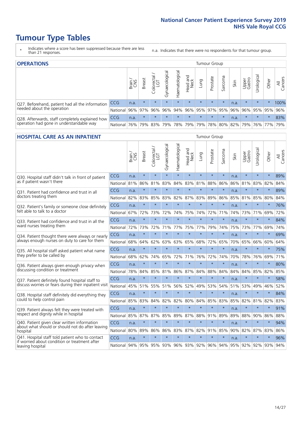# **Tumour Type Tables**

- \* Indicates where a score has been suppressed because there are less than 21 responses.
- n.a. Indicates that there were no respondents for that tumour group.

| <b>OPERATIONS</b>                                |          |       |               |            |                    |                |                  |         | Tumour Group |         |                                           |                 |            |         |                |
|--------------------------------------------------|----------|-------|---------------|------------|--------------------|----------------|------------------|---------|--------------|---------|-------------------------------------------|-----------------|------------|---------|----------------|
|                                                  |          | Brain | <b>Breast</b> | Colorectal | ᠊ᢛ<br>Gynaecologic | Haematological | Head and<br>Neck | Lung    | Prostate     | Sarcoma | Skin                                      | Upper<br>Gastro | Urological | Other   | All<br>Cancers |
| Q27. Beforehand, patient had all the information | CCG      | n.a.  | $\star$       | $\star$    | $\star$            | $\star$        | $\star$          | $\star$ | $\star$      | $\star$ | n.a.                                      | $\star$         | $\star$    | $\star$ | 100%           |
| needed about the operation                       | National | 96%   | 97%           | 96%        | 96%                | 94%            |                  |         |              |         | 96% 95% 97% 95% 96%                       | 96%             | 95%        | 95%     | 96%            |
| Q28. Afterwards, staff completely explained how  | CCG      | n.a.  | $\star$       | $\star$    | $\star$            | $\star$        | $\star$          | $\star$ | $\star$      | $\star$ | n.a.                                      | $\star$         | $\star$    | $\star$ | 83%            |
| operation had gone in understandable way         | National | 76%   |               | 79% 83%    |                    |                |                  |         |              |         | 79% 78% 79% 79% 78% 80% 82% 79% 76% 77% 1 |                 |            |         | 79%            |

#### **HOSPITAL CARE AS AN INPATIENT** TUMOUR STOUP TUMOUR Group

|                                                                                                   |            | Brain | <b>Breast</b> | Colorectal /<br>LGT | Gynaecological | Haematological | Head and<br><b>Neck</b> | Lung    | Prostate | Sarcoma | Skin | Upper<br>Gastro | Urological | Other   | All<br>Cancers |
|---------------------------------------------------------------------------------------------------|------------|-------|---------------|---------------------|----------------|----------------|-------------------------|---------|----------|---------|------|-----------------|------------|---------|----------------|
| Q30. Hospital staff didn't talk in front of patient                                               | CCG        | n.a.  | $\star$       | $\star$             | $\star$        | $\star$        | $\star$                 | $\star$ | $\star$  | $\star$ | n.a. | $\star$         | $\star$    | $\star$ | 89%            |
| as if patient wasn't there                                                                        | National   | 81%   | 86%           | 81%                 | 83%            | 84%            | 83%                     | 81%     | 88%      | 86%     | 86%  | 81%             | 83%        | 82%     | 84%            |
| 031. Patient had confidence and trust in all                                                      | CCG        | n.a.  | $\star$       | $\star$             | $\star$        | $\star$        | $\star$                 | $\star$ | $\star$  | $\star$ | n.a. |                 | $\star$    | $\star$ | 89%            |
| doctors treating them                                                                             | National   | 82%   | 83%           | 85%                 | 83%            | 82%            | 87%                     | 83%     | 89%      | 86%     | 85%  | 81%             | 85%        | 80%     | 84%            |
| Q32. Patient's family or someone close definitely                                                 | CCG        | n.a.  | $\star$       | $\star$             | $\star$        | $\star$        | $\star$                 | $\star$ | $\star$  | $\star$ | n.a. |                 | $\star$    | $\star$ | 76%            |
| felt able to talk to a doctor                                                                     | National   | 67%   | 72%           | 73%                 | 72%            | 74%            | 75%                     | 74%     | 72%      | 71%     | 74%  | 73%             | 71%        | 69%     | 72%            |
| Q33. Patient had confidence and trust in all the<br>ward nurses treating them                     | CCG        | n.a.  | $\star$       | $\star$             | $\star$        | $\star$        | $\star$                 | $\star$ | $\star$  | $\star$ | n.a. | $\star$         | $\star$    | $\star$ | 84%            |
|                                                                                                   | National   | 72%   | 73%           | 72%                 | 71%            | 77%            | 75%                     | 77%     | 79%      | 74%     | 75%  | 73%             | 77%        | 69%     | 74%            |
| Q34. Patient thought there were always or nearly<br>always enough nurses on duty to care for them | CCG        | n.a.  | $\star$       | $\star$             | $\star$        | $\star$        | $\star$                 | $\star$ | $\star$  | $\star$ | n.a. |                 | $\star$    | $\star$ | 69%            |
|                                                                                                   | National   | 68%   | 64%           | 62%                 | 63%            | 63%            |                         | 65% 68% | 72%      | 65%     | 70%  | 65%             | 66%        | 60%     | 64%            |
| Q35. All hospital staff asked patient what name<br>they prefer to be called by                    | CCG        | n.a.  | $\star$       | $\star$             | $\star$        | $\star$        | $\star$                 | $\star$ | $\star$  | $\star$ | n.a. | $\star$         | $\star$    | $\star$ | 75%            |
|                                                                                                   | National   | 68%   | 62%           | 74%                 | 65%            | 72%            | 71%                     | 76%     | 72%      | 74%     | 70%  | 78%             | 76%        | 69%     | 71%            |
| Q36. Patient always given enough privacy when                                                     | CCG        | n.a.  | $\star$       | $\star$             | $\star$        | $\star$        | $\star$                 | $\star$ | $\star$  | $\star$ | n.a. |                 | $\star$    | $\star$ | 80%            |
| discussing condition or treatment                                                                 | National   | 78%   | 84%           | 85%                 | 81%            | 86%            | 87%                     | 84%     | 88%      | 84%     | 84%  | 84%             | 85%        | 82%     | 85%            |
| Q37. Patient definitely found hospital staff to                                                   | <b>CCG</b> | n.a.  | $\star$       | $\star$             | $\star$        | $\star$        | $\star$                 | $\star$ | $\star$  | $\star$ | n.a. | $\star$         | $\star$    | $\star$ | 58%            |
| discuss worries or fears during their inpatient visit                                             | National   | 45%   | 51%           | 55%                 | 51%            | 56%            | 52%                     | 49%     | 53%      | 54%     | 51%  | 53%             | 49%        | 46%     | 52%            |
| Q38. Hospital staff definitely did everything they                                                | CCG        | n.a.  | $\star$       | $\star$             | $\star$        | $\star$        | $\star$                 | $\star$ | $\star$  | $\star$ | n.a. | $\star$         | $\star$    | $\star$ | 84%            |
| could to help control pain                                                                        | National   | 85%   | 83%           | 84%                 | 82%            | 82%            | 80%                     | 84%     | 85%      | 83%     | 85%  | 82%             | 81%        | 82%     | 83%            |
| Q39. Patient always felt they were treated with                                                   | CCG        | n.a.  | $\star$       | $\star$             | $\star$        | $\star$        | $\star$                 | $\star$ | $\star$  | $\star$ | n.a. | $\star$         | $\star$    | $\star$ | 91%            |
| respect and dignity while in hospital                                                             | National   | 85%   | 87%           | 87%                 | 85%            | 89%            | 87%                     | 88%     | 91%      | 89%     | 89%  | 88%             | 90%        | 86%     | 88%            |
| Q40. Patient given clear written information<br>about what should or should not do after leaving  | CCG        | n.a.  | $\star$       | $\star$             | $\star$        | $\star$        | $\star$                 | $\star$ | $\star$  | $\star$ | n.a. | $\star$         | $\star$    | $\star$ | 94%            |
| hospital                                                                                          | National   | 80%   | 89%           | 86%                 | 86%            | 83%            |                         | 87% 82% | 91%      | 85%     | 90%  | 82%             | 87%        | 83%     | 86%            |
| Q41. Hospital staff told patient who to contact<br>if worried about condition or treatment after  | CCG        | n.a.  | $\star$       | $\star$             | $\star$        | $\star$        | $\star$                 | $\star$ | $\star$  | $\star$ | n.a. | $\star$         | $\star$    | $\star$ | 96%            |
| leaving hospital                                                                                  | National I | 94%   |               | 95% 95% 93%         |                |                | 96% 93% 92%             |         | 96%      | 94%     |      | 95% 92%         | 92%        | 93%     | 94%            |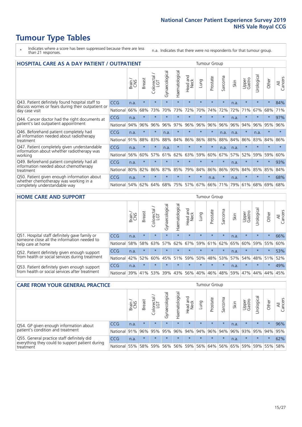# **Tumour Type Tables**

- \* Indicates where a score has been suppressed because there are less than 21 responses.
- n.a. Indicates that there were no respondents for that tumour group.

| <b>HOSPITAL CARE AS A DAY PATIENT / OUTPATIENT</b>                                                                    |            |       |               |                              |                |                |                         | <b>Tumour Group</b> |          |         |      |                 |            |         |                |  |
|-----------------------------------------------------------------------------------------------------------------------|------------|-------|---------------|------------------------------|----------------|----------------|-------------------------|---------------------|----------|---------|------|-----------------|------------|---------|----------------|--|
|                                                                                                                       |            | Brain | <b>Breast</b> | ╮<br>olorectal /<br>LGT<br>Ũ | Gynaecological | Haematological | ead and<br>Neck<br>Head | Lung                | Prostate | Sarcoma | Skin | Upper<br>Gastro | Urological | Other   | All<br>Cancers |  |
| Q43. Patient definitely found hospital staff to                                                                       | CCG        | n.a.  | $\star$       | $\star$                      | $\star$        | $\star$        | $\star$                 | $\star$             | $\star$  | $\star$ | n.a. | $\star$         | $\star$    | $\star$ | 84%            |  |
| discuss worries or fears during their outpatient or<br>day case visit                                                 | National   | 66%   | 68%           | 73%                          | 70%            | 73%            | 72%                     | 70%                 | 74%      | 72%     | 72%  | 71%             | 67%        | 68%     | 71%            |  |
| Q44. Cancer doctor had the right documents at<br>patient's last outpatient appointment                                | <b>CCG</b> | n.a.  | $\star$       | $\star$                      |                |                | $\star$                 | $\star$             | $\star$  | $\star$ | n.a. |                 | $\star$    | $\ast$  | 97%            |  |
|                                                                                                                       | National   | 94%   | 96%           | 96%                          | 96%            | 97%            | 96%                     | 96%                 | 96%      | 96%     | 96%  | 94%             | 96%        | 95%     | 96%            |  |
| Q46. Beforehand patient completely had                                                                                | CCG        | n.a.  | $\star$       | $\star$                      | n.a.           | $\star$        | $\star$                 | $\star$             | $\star$  | n.a.    | n.a. | $\star$         | n.a.       | $\star$ | $\star$        |  |
| all information needed about radiotherapy<br>treatment                                                                | National   | 91%   | 88%           | 83%                          | 88%            | 84%            | 86%                     | 86%                 | 88%      | 88%     | 84%  | 86%             | 83%        | 84%     | 86%            |  |
| Q47. Patient completely given understandable                                                                          | CCG        | n.a.  | $\star$       | $\star$                      | n.a.           | $\star$        | $\star$                 | $\star$             | $\star$  | n.a.    | n.a. | $\star$         | $\star$    | $\star$ | $\star$        |  |
| information about whether radiotherapy was<br>working                                                                 | National   | 56%   | 60%           | 57%                          | 61%            | 62%            | 63%                     | 59%                 | 60%      | 67%     | 57%  | 52%             | 59%        | 59%     | 60%            |  |
| Q49. Beforehand patient completely had all                                                                            | CCG        | n.a.  | $\star$       | $\star$                      | $\star$        | $\star$        | $\star$                 | $\star$             | $\star$  | $\star$ | n.a. | $\star$         | $^\star$   | $\ast$  | 93%            |  |
| information needed about chemotherapy<br>treatment                                                                    | National   | 80%   | 82%           | 86%                          | 87%            | 85%            | 79%                     | 84%                 | 86%      | 86%     | 90%  | 84%             | 85%        | 85%     | 84%            |  |
| Q50. Patient given enough information about<br>whether chemotherapy was working in a<br>completely understandable way | <b>CCG</b> | n.a.  | $\star$       | $\star$                      |                |                | $\star$                 | $\star$             | n.a.     | $\star$ | n.a. | $\star$         |            | 头       | 68%            |  |
|                                                                                                                       | National   | 54%   | 62%           | 64%                          | 68%            | 75%            |                         | 57% 67%             | 66%      | 71%     | 79%  | 61%             | 68%        | 69%     | 68%            |  |

#### **HOME CARE AND SUPPORT** Tumour Group

|                                                                                                                   |            | Brain | Breast  | Colorectal<br>LGT | त्त<br>Gynaecologic | Haematological | Head and<br>Neck | <b>Dung</b> | Prostate | Sarcoma | Skin | Upper<br>Gastro | rological | Other   | All<br>Cancers |
|-------------------------------------------------------------------------------------------------------------------|------------|-------|---------|-------------------|---------------------|----------------|------------------|-------------|----------|---------|------|-----------------|-----------|---------|----------------|
| Q51. Hospital staff definitely gave family or<br>someone close all the information needed to<br>help care at home | <b>CCG</b> | n.a.  | $\star$ | $\star$           | $\star$             | $\star$        | $\star$          | $\star$     | $\star$  | $\star$ | n.a. | $\star$         | $\star$   | $\star$ | 66%            |
|                                                                                                                   | National   | 58%   | 58%     | 63%               | 57%                 | 62%            |                  | 67% 59% 61% |          | 62%     | 65%  | 60%             | 59% 55%   |         | 60%            |
| Q52. Patient definitely given enough support<br>from health or social services during treatment                   | <b>CCG</b> | n.a.  | $\star$ | $\star$           | $\star$             |                | $\star$          | $\star$     | $\star$  | $\star$ | n.a. | $\star$         | $\star$   | $\star$ | 53%            |
|                                                                                                                   | National   | 42%   | 52%     | 60%               |                     | 45% 51%        | 59%              | 50%         | 48%      | 53%     | 57%  | 54%             | 48% 51%   |         | 52%            |
| Q53. Patient definitely given enough support<br>from health or social services after treatment                    | <b>CCG</b> | n.a.  | $\star$ | $\star$           | $\star$             | $\star$        | $\star$          | $\star$     | $\star$  | $\star$ | n.a. | $\star$         | $\star$   | $\star$ | 49%            |
|                                                                                                                   | National   | 39%   | 41%     | 53%               | 39%                 | $ 43\% $       | 56%              | 40%         | 46%      | 48%     | 59%  | 47%             | 44%       | 44%     | 45%            |

| <b>CARE FROM YOUR GENERAL PRACTICE</b>                                                                     |              |        |               |                   |                | Tumour Group   |                  |         |          |         |      |                                         |           |         |                |
|------------------------------------------------------------------------------------------------------------|--------------|--------|---------------|-------------------|----------------|----------------|------------------|---------|----------|---------|------|-----------------------------------------|-----------|---------|----------------|
|                                                                                                            |              | Brain, | <b>Breast</b> | Colorectal<br>LGT | Gynaecological | Haematological | Head and<br>Neck | Lung    | Prostate | Sarcoma | Skin | Upper<br>Gastro                         | Urologica | Other   | All<br>Cancers |
| Q54. GP given enough information about<br>patient's condition and treatment                                | <b>CCG</b>   | n.a.   | $\star$       | $\star$           | $\star$        | $\star$        | $\star$          | $\star$ | $\star$  | $\star$ | n.a. | $\star$                                 | $\star$   | $\star$ | 96%            |
|                                                                                                            | National 91% |        |               | 96% 95%           | 95%            |                |                  |         |          |         |      | 96% 94% 94% 96% 94% 96% 93% 95% 94% 95% |           |         |                |
| Q55. General practice staff definitely did<br>everything they could to support patient during<br>treatment | CCG          | n.a.   | $\star$       | $\star$           | $\star$        | $\star$        | $\star$          | $\star$ | $\star$  | $\star$ | n.a. | $\star$                                 | $\star$   | $\star$ | 62%            |
|                                                                                                            | National     | 55%    |               | 58% 59%           | 56%            |                | 56% 59%          |         |          |         |      | 56% 64% 56% 65% 59% 59% 55%             |           |         | 58%            |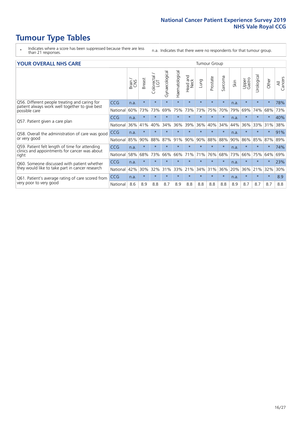# **Tumour Type Tables**

- \* Indicates where a score has been suppressed because there are less than 21 responses.
- n.a. Indicates that there were no respondents for that tumour group.

#### **YOUR OVERALL NHS CARE** THE CONSTRUCTION OF THE THROUP GROUP TUMOUR GROUP

| I YUN YENAEL NI IYOANE                                                                          |            |       |               |                            |                |                |                         | iamoar oroap |          |         |      |                 |               |         |                |
|-------------------------------------------------------------------------------------------------|------------|-------|---------------|----------------------------|----------------|----------------|-------------------------|--------------|----------|---------|------|-----------------|---------------|---------|----------------|
|                                                                                                 |            | Brain | <b>Breast</b> | ∽<br>olorectal<br>LGT<br>Ũ | Gynaecological | Haematological | aad and<br>Neck<br>Head | Lung         | Prostate | Sarcoma | Skin | Upper<br>Gastro | ී<br>Urologic | Other   | All<br>Cancers |
| Q56. Different people treating and caring for                                                   | <b>CCG</b> | n.a.  | $\star$       | $\star$                    | $\star$        | $\star$        | $\star$                 | $\star$      | $\star$  | $\star$ | n.a. | $\star$         | $\star$       | $\ast$  | 78%            |
| patient always work well together to give best<br>possible care                                 | National   | 60%   | 73%           | 73%                        | 69%            | 75%            | 73%                     | 73%          | 75%      | 70%     | 79%  | 69%             | 74%           | 68%     | 73%            |
| Q57. Patient given a care plan                                                                  | <b>CCG</b> | n.a.  | $\star$       | $\star$                    | $\star$        |                | $\star$                 | $\star$      | $\star$  | $\star$ | n.a. | $\star$         |               | $\star$ | 40%            |
|                                                                                                 | National   | 36%   | 41%           | 40%                        | 34%            | 36%            | 39%                     | 36%          | 40%      | 34%     | 44%  | 36%             | 33%           | 31%     | 38%            |
| Q58. Overall the administration of care was good                                                | <b>CCG</b> | n.a.  | $\ast$        | $\star$                    | $\star$        |                | $\star$                 | $\star$      | $\star$  | $\star$ | n.a. | $\star$         |               | $\star$ | 91%            |
| or very good                                                                                    | National   | 85%   | 90%           | 88%                        | 87%            | 91%            | 90%                     | 90%          | 88%      | 88%     | 90%  | 86%             | 85%           | 87%     | 89%            |
| Q59. Patient felt length of time for attending<br>clinics and appointments for cancer was about | <b>CCG</b> | n.a.  | $\star$       | $\star$                    | $\star$        |                | $\star$                 | $\star$      | $\star$  | $\star$ | n.a. | $\star$         | $\star$       | $\ast$  | 74%            |
| right                                                                                           | National   | 58%   | 68%           | 73%                        | 66%            | 66%            | 71%                     | 71%          | 76%      | 68%     | 73%  | 66%             | 75%           | 64%     | 69%            |
| Q60. Someone discussed with patient whether                                                     | <b>CCG</b> | n.a.  | $\ast$        | $\star$                    | $\star$        |                | $\star$                 | $\star$      | $\star$  | $\star$ | n.a. |                 |               | $\star$ | 23%            |
| they would like to take part in cancer research                                                 | National   | 42%   | 30%           | 32%                        | 31%            | 33%            | 21%                     | 34%          | 31%      | 36%     | 20%  | 36%             | 21%           | 32%     | 30%            |
| Q61. Patient's average rating of care scored from<br>very poor to very good                     | <b>CCG</b> | n.a.  | $\star$       | $\star$                    | $\star$        | $\star$        | $\star$                 | $\star$      | $\star$  | $\star$ | n.a. | $\star$         | $\star$       | $\star$ | 8.9            |
|                                                                                                 | National   | 8.6   | 8.9           | 8.8                        | 8.7            | 8.9            | 8.8                     | 8.8          | 8.8      | 8.8     | 8.9  | 8.7             | 8.7           | 8.7     | 8.8            |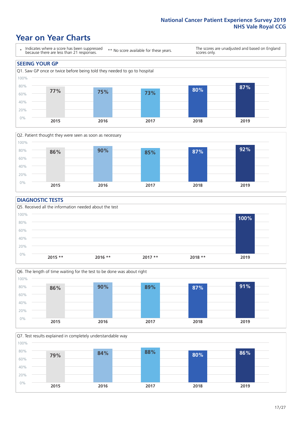### **Year on Year Charts**





#### **DIAGNOSTIC TESTS**





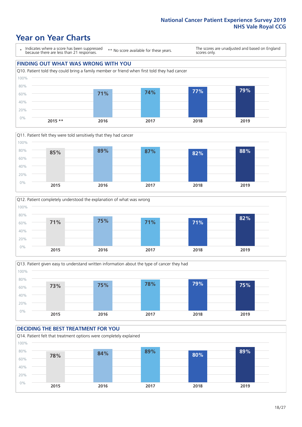### **Year on Year Charts**

\* Indicates where a score has been suppressed because there are less than 21 responses.

\*\* No score available for these years.

The scores are unadjusted and based on England scores only.

#### **FINDING OUT WHAT WAS WRONG WITH YOU** Q10. Patient told they could bring a family member or friend when first told they had cancer 0% 20% 40% 60% 80% 100% **2015 \*\* 2016 2017 2018 2019 71% 74% 77% 79%**







#### **DECIDING THE BEST TREATMENT FOR YOU** Q14. Patient felt that treatment options were completely explained 0% 20% 40% 60% 80% 100% **2015 2016 2017 2018 2019 78% 84% 89% 80% 89%**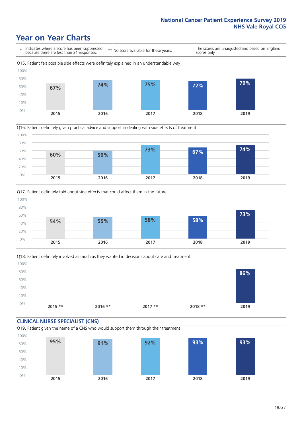### **Year on Year Charts**







Q18. Patient definitely involved as much as they wanted in decisions about care and treatment  $0%$ 20% 40% 60% 80% 100% **2015 \*\* 2016 \*\* 2017 \*\* 2018 \*\* 2019 86%**

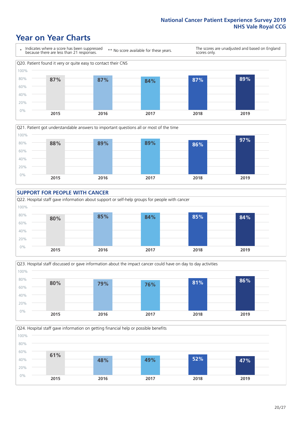### **Year on Year Charts**









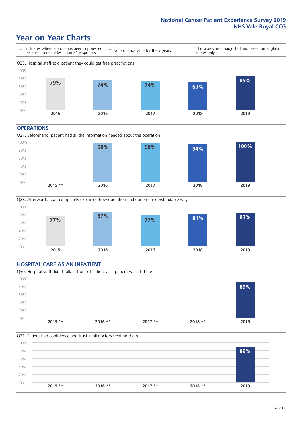### **Year on Year Charts**



#### **OPERATIONS**





#### **HOSPITAL CARE AS AN INPATIENT** Q30. Hospital staff didn't talk in front of patient as if patient wasn't there 0% 20% 40% 60% 80% 100% **2015 \*\* 2016 \*\* 2017 \*\* 2018 \*\* 2019 89%**

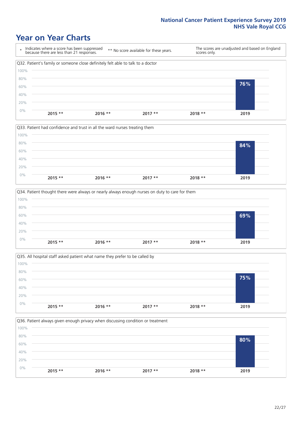### **Year on Year Charts**



![](_page_21_Figure_3.jpeg)

![](_page_21_Figure_4.jpeg)

![](_page_21_Figure_5.jpeg)

![](_page_21_Figure_6.jpeg)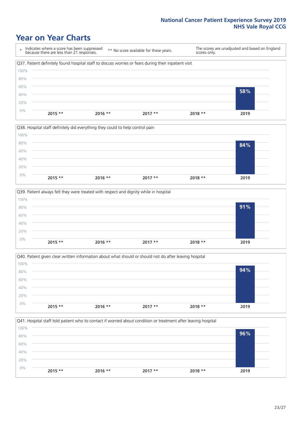### **Year on Year Charts**

\* Indicates where a score has been suppressed because there are less than 21 responses. \*\* No score available for these years. The scores are unadjusted and based on England scores only. Q37. Patient definitely found hospital staff to discuss worries or fears during their inpatient visit 0% 20% 40% 60% 80% 100% **2015 \*\* 2016 \*\* 2017 \*\* 2018 \*\* 2019 58%**

![](_page_22_Figure_3.jpeg)

![](_page_22_Figure_4.jpeg)

![](_page_22_Figure_5.jpeg)

![](_page_22_Figure_6.jpeg)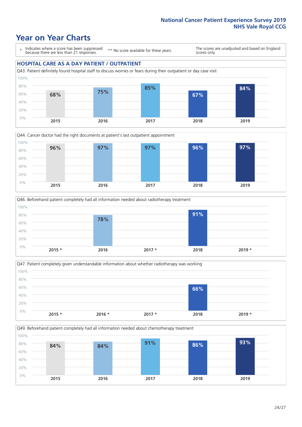### **Year on Year Charts**

\* Indicates where a score has been suppressed because there are less than 21 responses.

\*\* No score available for these years.

The scores are unadjusted and based on England scores only.

#### **HOSPITAL CARE AS A DAY PATIENT / OUTPATIENT**

![](_page_23_Figure_6.jpeg)

![](_page_23_Figure_7.jpeg)

![](_page_23_Figure_8.jpeg)

![](_page_23_Figure_9.jpeg)

![](_page_23_Figure_10.jpeg)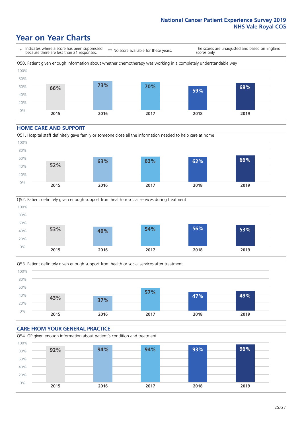### **Year on Year Charts**

\* Indicates where a score has been suppressed because there are less than 21 responses. \*\* No score available for these years. The scores are unadjusted and based on England scores only. Q50. Patient given enough information about whether chemotherapy was working in a completely understandable way 0% 20% 40% 60% 80% 100% **2015 2016 2017 2018 2019 66% 73% 70% 59% 68%**

#### **HOME CARE AND SUPPORT**

![](_page_24_Figure_4.jpeg)

![](_page_24_Figure_5.jpeg)

![](_page_24_Figure_6.jpeg)

![](_page_24_Figure_7.jpeg)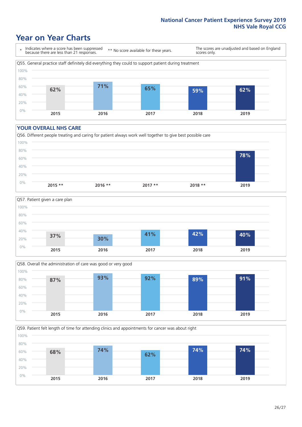### **Year on Year Charts**

\* Indicates where a score has been suppressed because there are less than 21 responses.

\*\* No score available for these years.

The scores are unadjusted and based on England scores only.

![](_page_25_Figure_5.jpeg)

#### **YOUR OVERALL NHS CARE**

![](_page_25_Figure_7.jpeg)

![](_page_25_Figure_8.jpeg)

![](_page_25_Figure_9.jpeg)

Q59. Patient felt length of time for attending clinics and appointments for cancer was about right

![](_page_25_Figure_11.jpeg)